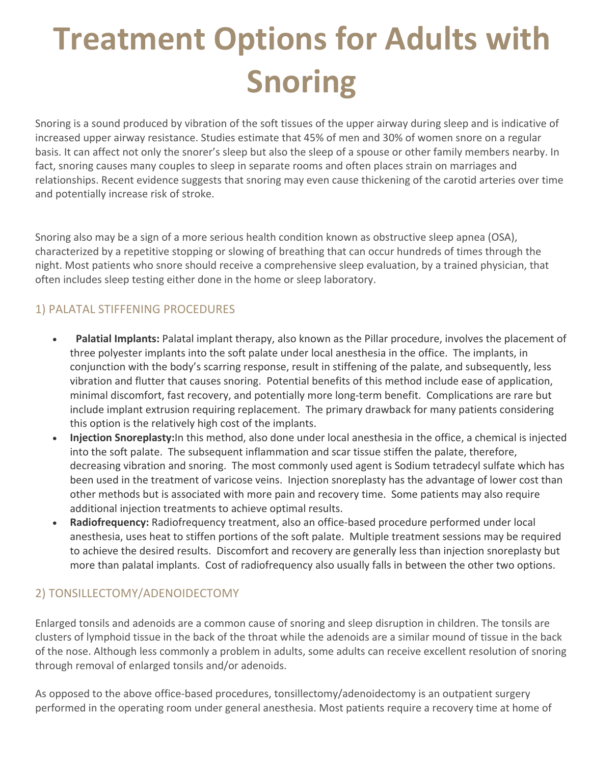# **Treatment Options for Adults with Snoring**

Snoring is a sound produced by vibration of the soft tissues of the upper airway during sleep and is indicative of increased upper airway resistance. Studies estimate that 45% of men and 30% of women snore on a regular basis. It can affect not only the snorer's sleep but also the sleep of a spouse or other family members nearby. In fact, snoring causes many couples to sleep in separate rooms and often places strain on marriages and relationships. Recent evidence suggests that snoring may even cause thickening of the carotid arteries over time and potentially increase risk of stroke.

Snoring also may be a sign of a more serious health condition known as obstructive sleep apnea (OSA), characterized by a repetitive stopping or slowing of breathing that can occur hundreds of times through the night. Most patients who snore should receive a comprehensive sleep evaluation, by a trained physician, that often includes sleep testing either done in the home or sleep laboratory.

## 1) PALATAL STIFFENING PROCEDURES

- **Palatial Implants:** Palatal implant therapy, also known as the Pillar procedure, involves the placement of three polyester implants into the soft palate under local anesthesia in the office. The implants, in conjunction with the body's scarring response, result in stiffening of the palate, and subsequently, less vibration and flutter that causes snoring. Potential benefits of this method include ease of application, minimal discomfort, fast recovery, and potentially more long-term benefit. Complications are rare but include implant extrusion requiring replacement. The primary drawback for many patients considering this option is the relatively high cost of the implants.
- **Injection Snoreplasty:** In this method, also done under local anesthesia in the office, a chemical is injected into the soft palate. The subsequent inflammation and scar tissue stiffen the palate, therefore, decreasing vibration and snoring. The most commonly used agent is Sodium tetradecyl sulfate which has been used in the treatment of varicose veins. Injection snoreplasty has the advantage of lower cost than other methods but is associated with more pain and recovery time. Some patients may also require additional injection treatments to achieve optimal results.
- **Radiofrequency:** Radiofrequency treatment, also an office-based procedure performed under local anesthesia, uses heat to stiffen portions of the soft palate. Multiple treatment sessions may be required to achieve the desired results. Discomfort and recovery are generally less than injection snoreplasty but more than palatal implants. Cost of radiofrequency also usually falls in between the other two options.

### 2) TONSILLECTOMY/ADENOIDECTOMY

Enlarged tonsils and adenoids are a common cause of snoring and sleep disruption in children. The tonsils are clusters of lymphoid tissue in the back of the throat while the adenoids are a similar mound of tissue in the back of the nose. Although less commonly a problem in adults, some adults can receive excellent resolution of snoring through removal of enlarged tonsils and/or adenoids.

As opposed to the above office-based procedures, tonsillectomy/adenoidectomy is an outpatient surgery performed in the operating room under general anesthesia. Most patients require a recovery time at home of